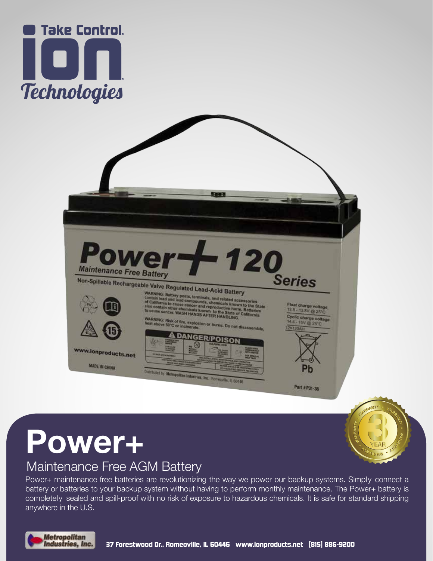



**Power+**

## Maintenance Free AGM Battery

Power+ maintenance free batteries are revolutionizing the way we power our backup systems. Simply connect a battery or batteries to your backup system without having to perform monthly maintenance. The Power+ battery is completely sealed and spill-proof with no risk of exposure to hazardous chemicals. It is safe for standard shipping anywhere in the U.S.



VEAL *EHVIN*